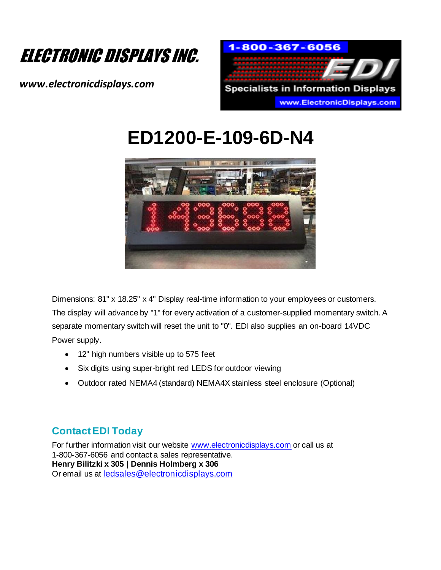

*www.electronicdisplays.com*



# **ED1200-E-109-6D-N4**



Dimensions: 81" x 18.25" x 4" Display real-time information to your employees or customers. The display will advance by "1" for every activation of a customer-supplied momentary switch. A separate momentary switch will reset the unit to "0". EDI also supplies an on-board 14VDC Power supply.

- 12" high numbers visible up to 575 feet
- Six digits using super-bright red LEDS for outdoor viewing
- Outdoor rated NEMA4 (standard) NEMA4X stainless steel enclosure (Optional)

### **Contact EDI Today**

For further information visit our website www.electronicdisplays.com or call us at 1-800-367-6056 and contact a sales representative. **Henry Bilitzki x 305 | Dennis Holmberg x 306** Or email us at ledsales@electronicdisplays.com